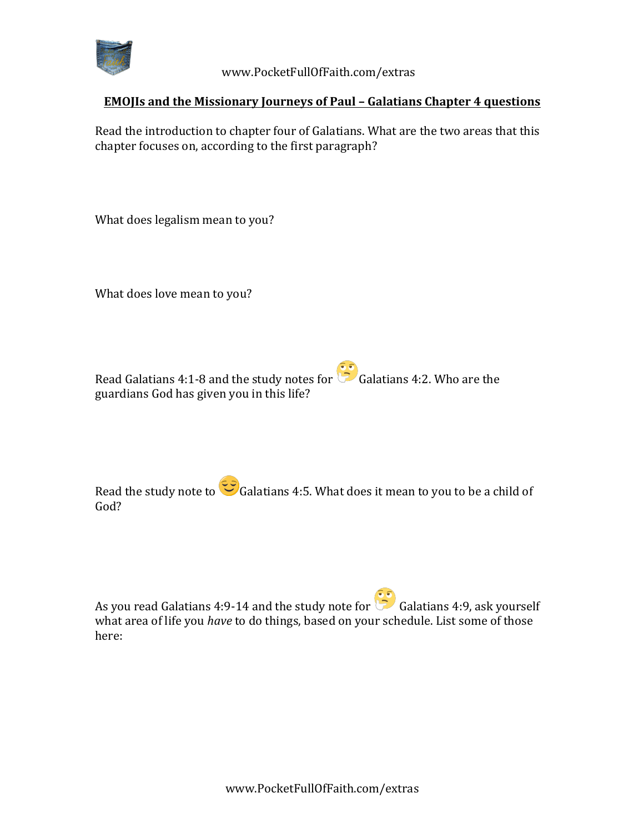

 www.PocketFullOfFaith.com/extras

## **EMOJIs and the Missionary Journeys of Paul - Galatians Chapter 4 questions**

Read the introduction to chapter four of Galatians. What are the two areas that this chapter focuses on, according to the first paragraph?

What does legalism mean to you?

What does love mean to you?

Read Galatians 4:1-8 and the study notes for  $\overline{\mathbb{C}}$  Galatians 4:2. Who are the guardians God has given you in this life?

Read the study note to  $\mathbb{C}$  Galatians 4:5. What does it mean to you to be a child of God?

As you read Galatians 4:9-14 and the study note for  $\overline{\mathbb{G}}$  Galatians 4:9, ask yourself what area of life you *have* to do things, based on your schedule. List some of those here: